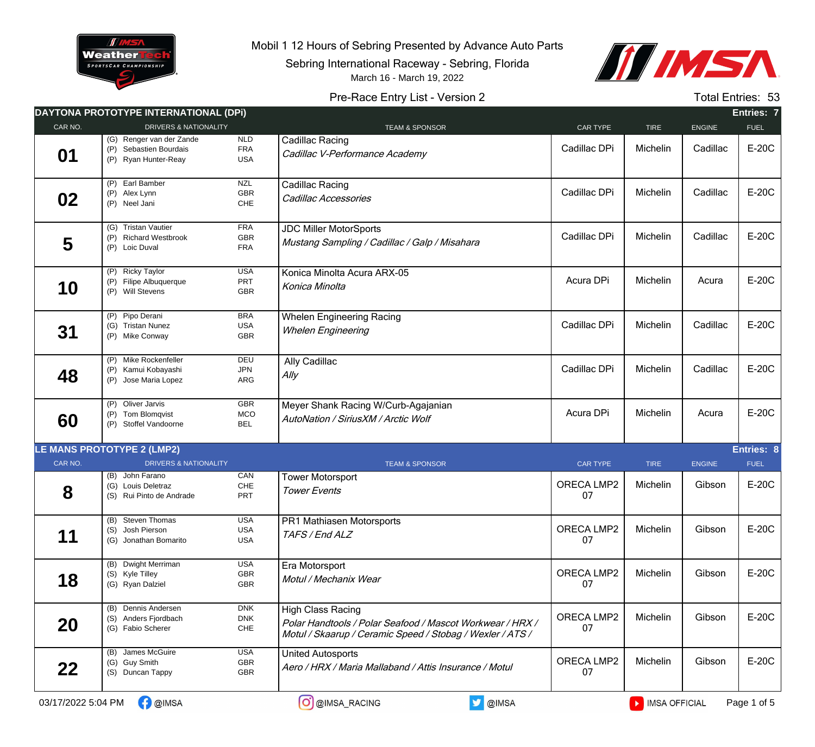

Mobil 1 12 Hours of Sebring Presented by Advance Auto Parts

Sebring International Raceway - Sebring, Florida





## Pre-Race Entry List - Version 2 Total Entries: 53

|         | DAYTONA PROTOTYPE INTERNATIONAL (DPI)                                      |                                        |                                                                                                                                             |                  |             |               | Entries: 7        |
|---------|----------------------------------------------------------------------------|----------------------------------------|---------------------------------------------------------------------------------------------------------------------------------------------|------------------|-------------|---------------|-------------------|
| CAR NO. | <b>DRIVERS &amp; NATIONALITY</b>                                           |                                        | <b>TEAM &amp; SPONSOR</b>                                                                                                                   | CAR TYPE         | <b>TIRE</b> | <b>ENGINE</b> | <b>FUEL</b>       |
| 01      | (G) Renger van der Zande<br>(P) Sebastien Bourdais<br>(P) Ryan Hunter-Reay | <b>NLD</b><br><b>FRA</b><br><b>USA</b> | Cadillac Racing<br>Cadillac V-Performance Academy                                                                                           | Cadillac DPi     | Michelin    | Cadillac      | E-20C             |
| 02      | $(P)$ Earl Bamber<br>(P) Alex Lynn<br>(P) Neel Jani                        | <b>NZL</b><br>GBR<br>${\sf CHE}$       | Cadillac Racing<br>Cadillac Accessories                                                                                                     | Cadillac DPi     | Michelin    | Cadillac      | E-20C             |
| 5       | (G) Tristan Vautier<br>(P) Richard Westbrook<br>(P) Loic Duval             | <b>FRA</b><br><b>GBR</b><br><b>FRA</b> | <b>JDC Miller MotorSports</b><br>Mustang Sampling / Cadillac / Galp / Misahara                                                              | Cadillac DPi     | Michelin    | Cadillac      | E-20C             |
| 10      | (P) Ricky Taylor<br>(P) Filipe Albuquerque<br>(P) Will Stevens             | <b>USA</b><br>PRT<br><b>GBR</b>        | Konica Minolta Acura ARX-05<br>Konica Minolta                                                                                               | Acura DPi        | Michelin    | Acura         | E-20C             |
| 31      | (P) Pipo Derani<br>(G) Tristan Nunez<br>(P) Mike Conway                    | <b>BRA</b><br><b>USA</b><br>GBR        | <b>Whelen Engineering Racing</b><br><b>Whelen Engineering</b>                                                                               | Cadillac DPi     | Michelin    | Cadillac      | E-20C             |
| 48      | (P) Mike Rockenfeller<br>(P) Kamui Kobayashi<br>(P) Jose Maria Lopez       | DEU<br><b>JPN</b><br>ARG               | Ally Cadillac<br>Ally                                                                                                                       | Cadillac DPi     | Michelin    | Cadillac      | E-20C             |
| 60      | (P) Oliver Jarvis<br>(P) Tom Blomqvist<br>(P) Stoffel Vandoorne            | GBR<br><b>MCO</b><br><b>BEL</b>        | Meyer Shank Racing W/Curb-Agajanian<br>AutoNation / SiriusXM / Arctic Wolf                                                                  | Acura DPi        | Michelin    | Acura         | E-20C             |
|         | <b>LE MANS PROTOTYPE 2 (LMP2)</b>                                          |                                        |                                                                                                                                             |                  |             |               | <b>Entries: 8</b> |
| CAR NO. | <b>DRIVERS &amp; NATIONALITY</b>                                           |                                        | <b>TEAM &amp; SPONSOR</b>                                                                                                                   | <b>CAR TYPE</b>  | <b>TIRE</b> | <b>ENGINE</b> | <b>FUEL</b>       |
| 8       | (B) John Farano<br>(G) Louis Deletraz<br>(S) Rui Pinto de Andrade          | CAN<br>${\sf CHE}$<br><b>PRT</b>       | <b>Tower Motorsport</b><br><b>Tower Events</b>                                                                                              | ORECA LMP2<br>07 | Michelin    | Gibson        | E-20C             |
| 11      | (B) Steven Thomas<br>(S) Josh Pierson<br>(G) Jonathan Bomarito             | <b>USA</b><br>USA<br><b>USA</b>        | PR1 Mathiasen Motorsports<br>TAFS / End ALZ                                                                                                 | ORECA LMP2<br>07 | Michelin    | Gibson        | E-20C             |
| 18      | (B) Dwight Merriman<br>(S) Kyle Tilley<br>(G) Ryan Dalziel                 | USA<br>GBR<br>GBR                      | Era Motorsport<br>Motul / Mechanix Wear                                                                                                     | ORECA LMP2<br>07 | Michelin    | Gibson        | E-20C             |
| 20      | (B) Dennis Andersen<br>(S) Anders Fjordbach<br>(G) Fabio Scherer           | <b>DNK</b><br><b>DNK</b><br>CHE        | High Class Racing<br>Polar Handtools / Polar Seafood / Mascot Workwear / HRX /<br>Motul / Skaarup / Ceramic Speed / Stobag / Wexler / ATS / | ORECA LMP2<br>07 | Michelin    | Gibson        | E-20C             |
| 22      | (B) James McGuire<br>(G) Guy Smith<br>(S) Duncan Tappy                     | <b>USA</b><br>GBR<br>GBR               | <b>United Autosports</b><br>Aero / HRX / Maria Mallaband / Attis Insurance / Motul                                                          | ORECA LMP2<br>07 | Michelin    | Gibson        | E-20C             |
|         |                                                                            |                                        |                                                                                                                                             |                  |             |               |                   |

 $03/17/2022$  5:04 PM  $\bigcap_{i=1}^{\infty}$  @IMSA  $\bigcap_{i=1}^{\infty}$  @IMSA\_RACING  $\bigcup_{i=1}^{\infty}$  @IMSA  $\bigcap_{i=1}^{\infty}$  IMSA OFFICIAL Page 1 of 5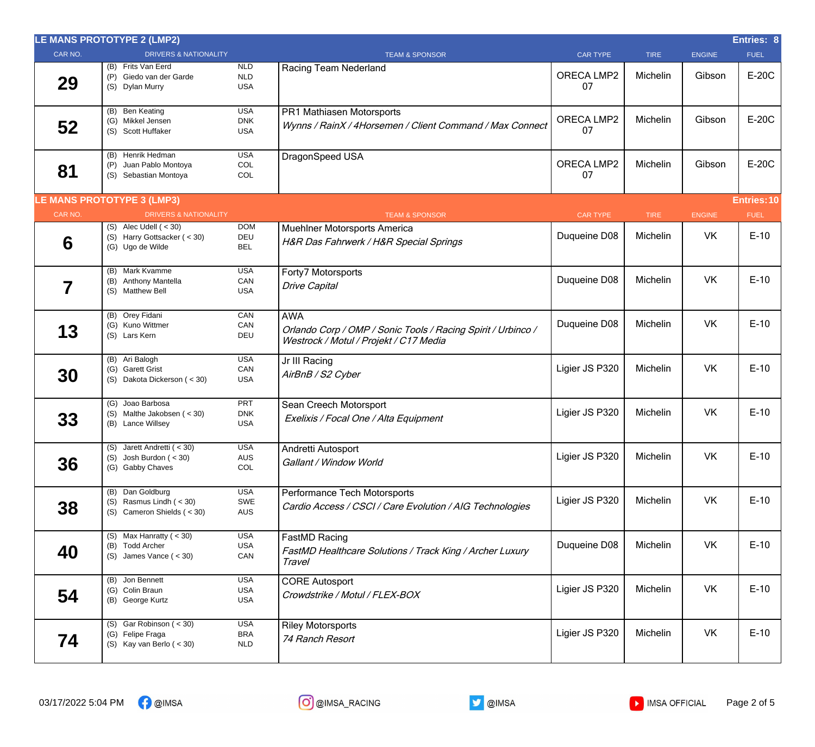|         | LE MANS PROTOTYPE 2 (LMP2)                                                    |                                        |                                                                                                                      |                  |             |               | Entries: 8         |
|---------|-------------------------------------------------------------------------------|----------------------------------------|----------------------------------------------------------------------------------------------------------------------|------------------|-------------|---------------|--------------------|
| CAR NO. | <b>DRIVERS &amp; NATIONALITY</b>                                              |                                        | <b>TEAM &amp; SPONSOR</b>                                                                                            | <b>CAR TYPE</b>  | <b>TIRE</b> | <b>ENGINE</b> | <b>FUEL</b>        |
| 29      | (B) Frits Van Eerd<br>(P) Giedo van der Garde<br>(S) Dylan Murry              | <b>NLD</b><br>NLD<br><b>USA</b>        | Racing Team Nederland                                                                                                | ORECA LMP2<br>07 | Michelin    | Gibson        | E-20C              |
| 52      | (B) Ben Keating<br>(G) Mikkel Jensen<br>(S) Scott Huffaker                    | <b>USA</b><br><b>DNK</b><br><b>USA</b> | PR1 Mathiasen Motorsports<br>Wynns / RainX / 4Horsemen / Client Command / Max Connect                                | ORECA LMP2<br>07 | Michelin    | Gibson        | E-20C              |
| 81      | (B) Henrik Hedman<br>(P) Juan Pablo Montoya<br>(S) Sebastian Montoya          | <b>USA</b><br>COL<br>COL               | DragonSpeed USA                                                                                                      | ORECA LMP2<br>07 | Michelin    | Gibson        | E-20C              |
|         | <b>LE MANS PROTOTYPE 3 (LMP3)</b>                                             |                                        |                                                                                                                      |                  |             |               | <b>Entries: 10</b> |
| CAR NO. | <b>DRIVERS &amp; NATIONALITY</b>                                              |                                        | <b>TEAM &amp; SPONSOR</b>                                                                                            | <b>CAR TYPE</b>  | <b>TIRE</b> | <b>ENGINE</b> | <b>FUEL</b>        |
| 6       | $(S)$ Alec Udell $(30)$<br>(S) Harry Gottsacker (< 30)<br>(G) Ugo de Wilde    | <b>DOM</b><br>DEU<br><b>BEL</b>        | Muehlner Motorsports America<br>H&R Das Fahrwerk / H&R Special Springs                                               | Duqueine D08     | Michelin    | VK            | $E-10$             |
| 7       | (B) Mark Kvamme<br>(B) Anthony Mantella<br>(S) Matthew Bell                   | <b>USA</b><br>CAN<br><b>USA</b>        | Forty7 Motorsports<br><b>Drive Capital</b>                                                                           | Duqueine D08     | Michelin    | <b>VK</b>     | $E-10$             |
| 13      | (B) Orey Fidani<br>(G) Kuno Wittmer<br>(S) Lars Kern                          | CAN<br>CAN<br>DEU                      | <b>AWA</b><br>Orlando Corp / OMP / Sonic Tools / Racing Spirit / Urbinco /<br>Westrock / Motul / Projekt / C17 Media | Duqueine D08     | Michelin    | <b>VK</b>     | $E-10$             |
| 30      | (B) Ari Balogh<br>(G) Garett Grist<br>(S) Dakota Dickerson (< 30)             | <b>USA</b><br>CAN<br><b>USA</b>        | Jr III Racing<br>AirBnB / S2 Cyber                                                                                   | Ligier JS P320   | Michelin    | VK            | $E-10$             |
| 33      | (G) Joao Barbosa<br>(S) Malthe Jakobsen (< 30)<br>(B) Lance Willsey           | <b>PRT</b><br><b>DNK</b><br><b>USA</b> | Sean Creech Motorsport<br>Exelixis / Focal One / Alta Equipment                                                      | Ligier JS P320   | Michelin    | VK            | $E-10$             |
| 36      | (S) Jarett Andretti (< 30)<br>$(S)$ Josh Burdon $( < 30)$<br>(G) Gabby Chaves | <b>USA</b><br>AUS<br>COL               | Andretti Autosport<br>Gallant / Window World                                                                         | Ligier JS P320   | Michelin    | <b>VK</b>     | $E-10$             |
| 38      | (B) Dan Goldburg<br>(S) Rasmus Lindh $( < 30)$<br>(S) Cameron Shields $(30)$  | <b>USA</b><br>SWE<br><b>AUS</b>        | Performance Tech Motorsports<br>Cardio Access / CSCI / Care Evolution / AIG Technologies                             | Ligier JS P320   | Michelin    | <b>VK</b>     | $E-10$             |
| 40      | (S) Max Hanratty ( $<$ 30)<br>(B) Todd Archer<br>(S) James Vance $(30)$       | <b>USA</b><br><b>USA</b><br>CAN        | FastMD Racing<br>FastMD Healthcare Solutions / Track King / Archer Luxury<br>Travel                                  | Duqueine D08     | Michelin    | VK            | $E-10$             |
| 54      | (B) Jon Bennett<br>(G) Colin Braun<br>(B) George Kurtz                        | <b>USA</b><br><b>USA</b><br><b>USA</b> | <b>CORE Autosport</b><br>Crowdstrike / Motul / FLEX-BOX                                                              | Ligier JS P320   | Michelin    | VK            | $E-10$             |
| 74      | (S) Gar Robinson $(30)$<br>(G) Felipe Fraga<br>(S) Kay van Berlo $(30)$       | <b>USA</b><br><b>BRA</b><br><b>NLD</b> | <b>Riley Motorsports</b><br>74 Ranch Resort                                                                          | Ligier JS P320   | Michelin    | VK            | $E-10$             |



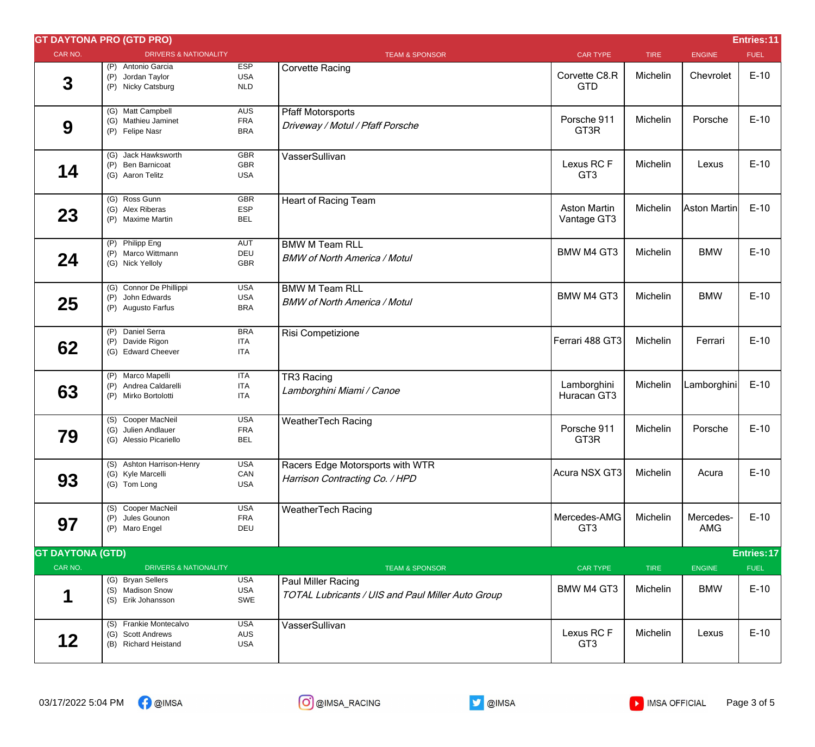|                         | <b>GT DAYTONA PRO (GTD PRO)</b>                                     |                                        |                                                                         |                                    |             |                  | Entries: 11 |
|-------------------------|---------------------------------------------------------------------|----------------------------------------|-------------------------------------------------------------------------|------------------------------------|-------------|------------------|-------------|
| CAR NO.                 | <b>DRIVERS &amp; NATIONALITY</b>                                    |                                        | <b>TEAM &amp; SPONSOR</b>                                               | <b>CAR TYPE</b>                    | <b>TIRE</b> | <b>ENGINE</b>    | <b>FUEL</b> |
| $\mathbf{3}$            | (P) Antonio Garcia<br>(P) Jordan Taylor<br>(P) Nicky Catsburg       | <b>ESP</b><br><b>USA</b><br>NLD        | <b>Corvette Racing</b>                                                  | Corvette C8.R<br><b>GTD</b>        | Michelin    | Chevrolet        | $E-10$      |
| 9                       | (G) Matt Campbell<br>(G) Mathieu Jaminet<br>(P) Felipe Nasr         | <b>AUS</b><br><b>FRA</b><br><b>BRA</b> | <b>Pfaff Motorsports</b><br>Driveway / Motul / Pfaff Porsche            | Porsche 911<br>GT3R                | Michelin    | Porsche          | $E-10$      |
| 14                      | (G) Jack Hawksworth<br>(P) Ben Barnicoat<br>(G) Aaron Telitz        | <b>GBR</b><br><b>GBR</b><br><b>USA</b> | VasserSullivan                                                          | Lexus RCF<br>GT <sub>3</sub>       | Michelin    | Lexus            | $E-10$      |
| 23                      | (G) Ross Gunn<br>(G) Alex Riberas<br>(P) Maxime Martin              | GBR<br>ESP<br><b>BEL</b>               | <b>Heart of Racing Team</b>                                             | <b>Aston Martin</b><br>Vantage GT3 | Michelin    | Aston Martin     | $E-10$      |
| 24                      | (P) Philipp Eng<br>(P) Marco Wittmann<br>(G) Nick Yelloly           | <b>AUT</b><br>DEU<br>GBR               | <b>BMW M Team RLL</b><br><b>BMW of North America / Motul</b>            | <b>BMW M4 GT3</b>                  | Michelin    | <b>BMW</b>       | $E-10$      |
| 25                      | (G) Connor De Phillippi<br>(P) John Edwards<br>(P) Augusto Farfus   | <b>USA</b><br><b>USA</b><br><b>BRA</b> | <b>BMW M Team RLL</b><br><b>BMW of North America / Motul</b>            | <b>BMW M4 GT3</b>                  | Michelin    | <b>BMW</b>       | $E-10$      |
| 62                      | (P) Daniel Serra<br>(P) Davide Rigon<br>(G) Edward Cheever          | <b>BRA</b><br><b>ITA</b><br><b>ITA</b> | Risi Competizione                                                       | Ferrari 488 GT3                    | Michelin    | Ferrari          | $E-10$      |
| 63                      | (P) Marco Mapelli<br>(P) Andrea Caldarelli<br>(P) Mirko Bortolotti  | <b>ITA</b><br><b>ITA</b><br><b>ITA</b> | TR3 Racing<br>Lamborghini Miami / Canoe                                 | Lamborghini<br>Huracan GT3         | Michelin    | Lamborghini      | $E-10$      |
| 79                      | (S) Cooper MacNeil<br>(G) Julien Andlauer<br>(G) Alessio Picariello | <b>USA</b><br><b>FRA</b><br><b>BEL</b> | <b>WeatherTech Racing</b>                                               | Porsche 911<br>GT3R                | Michelin    | Porsche          | $E-10$      |
| 93                      | (S) Ashton Harrison-Henry<br>(G) Kyle Marcelli<br>(G) Tom Long      | <b>USA</b><br>CAN<br><b>USA</b>        | Racers Edge Motorsports with WTR<br>Harrison Contracting Co. / HPD      | Acura NSX GT3                      | Michelin    | Acura            | $E-10$      |
| 97                      | (S) Cooper MacNeil<br>(P) Jules Gounon<br>(P) Maro Engel            | <b>USA</b><br><b>FRA</b><br>DEU        | <b>WeatherTech Racing</b>                                               | Mercedes-AMG<br>GT <sub>3</sub>    | Michelin    | Mercedes-<br>AMG | $E-10$      |
| <b>GT DAYTONA (GTD)</b> |                                                                     |                                        |                                                                         |                                    |             |                  | Entries: 17 |
| CAR NO.                 | <b>DRIVERS &amp; NATIONALITY</b>                                    |                                        | <b>TEAM &amp; SPONSOR</b>                                               | <b>CAR TYPE</b>                    | <b>TIRE</b> | <b>ENGINE</b>    | <b>FUEL</b> |
| 1                       | (G) Bryan Sellers<br>(S) Madison Snow<br>(S) Erik Johansson         | <b>USA</b><br><b>USA</b><br>SWE        | Paul Miller Racing<br>TOTAL Lubricants / UIS and Paul Miller Auto Group | <b>BMW M4 GT3</b>                  | Michelin    | <b>BMW</b>       | $E-10$      |
| 12                      | (S) Frankie Montecalvo<br>(G) Scott Andrews<br>(B) Richard Heistand | <b>USA</b><br><b>AUS</b><br>USA        | VasserSullivan                                                          | Lexus RCF<br>GT <sub>3</sub>       | Michelin    | Lexus            | $E-10$      |

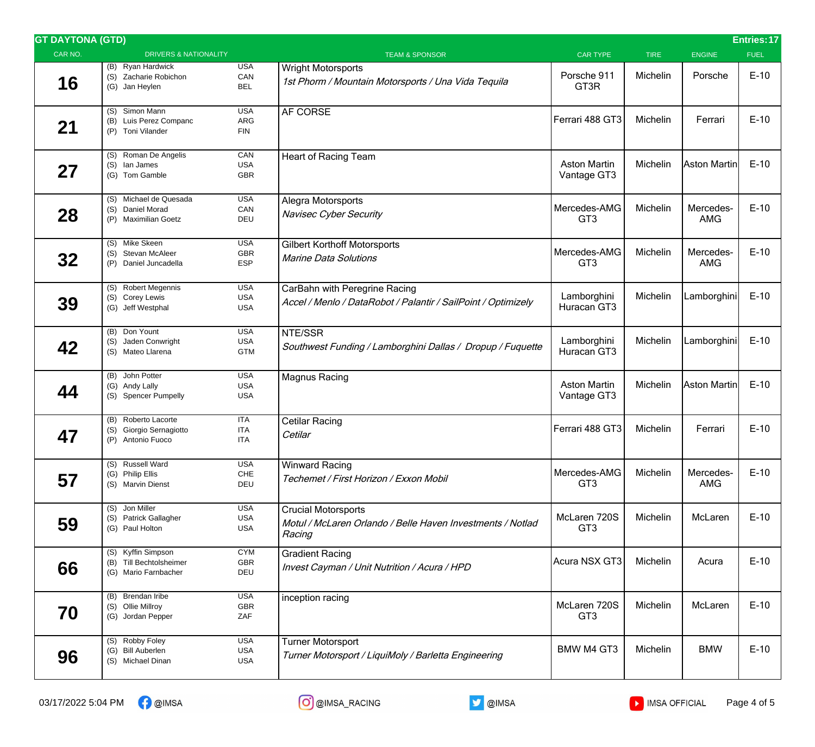| <b>GT DAYTONA (GTD)</b> |                                                                       |                                        |                                                                                                    |                                    |             |                         | Entries: 17 |
|-------------------------|-----------------------------------------------------------------------|----------------------------------------|----------------------------------------------------------------------------------------------------|------------------------------------|-------------|-------------------------|-------------|
| CAR NO.                 | <b>DRIVERS &amp; NATIONALITY</b>                                      |                                        | <b>TEAM &amp; SPONSOR</b>                                                                          | <b>CAR TYPE</b>                    | <b>TIRE</b> | <b>ENGINE</b>           | <b>FUEL</b> |
| 16                      | (B) Ryan Hardwick<br>(S) Zacharie Robichon<br>(G) Jan Heylen          | <b>USA</b><br>CAN<br><b>BEL</b>        | <b>Wright Motorsports</b><br>1st Phorm / Mountain Motorsports / Una Vida Tequila                   | Porsche 911<br>GT3R                | Michelin    | Porsche                 | $E-10$      |
| 21                      | (S) Simon Mann<br>(B) Luis Perez Companc<br>(P) Toni Vilander         | <b>USA</b><br>ARG<br><b>FIN</b>        | AF CORSE                                                                                           | Ferrari 488 GT3                    | Michelin    | Ferrari                 | $E-10$      |
| 27                      | (S) Roman De Angelis<br>(S) lan James<br>(G) Tom Gamble               | CAN<br><b>USA</b><br><b>GBR</b>        | <b>Heart of Racing Team</b>                                                                        | <b>Aston Martin</b><br>Vantage GT3 | Michelin    | Aston Martin            | $E-10$      |
| 28                      | (S) Michael de Quesada<br>(S) Daniel Morad<br>(P) Maximilian Goetz    | <b>USA</b><br>CAN<br>DEU               | Alegra Motorsports<br>Navisec Cyber Security                                                       | Mercedes-AMG<br>GT <sub>3</sub>    | Michelin    | Mercedes-<br><b>AMG</b> | $E-10$      |
| 32                      | (S) Mike Skeen<br>(S) Stevan McAleer<br>(P) Daniel Juncadella         | <b>USA</b><br>GBR<br><b>ESP</b>        | <b>Gilbert Korthoff Motorsports</b><br><b>Marine Data Solutions</b>                                | Mercedes-AMG<br>GT <sub>3</sub>    | Michelin    | Mercedes-<br><b>AMG</b> | $E-10$      |
| 39                      | (S) Robert Megennis<br>(S) Corey Lewis<br>(G) Jeff Westphal           | <b>USA</b><br><b>USA</b><br><b>USA</b> | CarBahn with Peregrine Racing<br>Accel / Menlo / DataRobot / Palantir / SailPoint / Optimizely     | Lamborghini<br>Huracan GT3         | Michelin    | Lamborghini             | $E-10$      |
| 42                      | (B) Don Yount<br>(S) Jaden Conwright<br>(S) Mateo Llarena             | <b>USA</b><br><b>USA</b><br><b>GTM</b> | NTE/SSR<br>Southwest Funding / Lamborghini Dallas / Dropup / Fuquette                              | Lamborghini<br>Huracan GT3         | Michelin    | Lamborghini             | $E-10$      |
| 44                      | (B) John Potter<br>(G) Andy Lally<br>(S) Spencer Pumpelly             | <b>USA</b><br><b>USA</b><br><b>USA</b> | Magnus Racing                                                                                      | <b>Aston Martin</b><br>Vantage GT3 | Michelin    | Aston Martin            | $E-10$      |
| 47                      | (B) Roberto Lacorte<br>(S) Giorgio Sernagiotto<br>(P) Antonio Fuoco   | ITA<br><b>ITA</b><br><b>ITA</b>        | Cetilar Racing<br>Cetilar                                                                          | Ferrari 488 GT3                    | Michelin    | Ferrari                 | $E-10$      |
| 57                      | (S) Russell Ward<br>(G) Philip Ellis<br>(S) Marvin Dienst             | <b>USA</b><br>CHE<br>DEU               | <b>Winward Racing</b><br>Techemet / First Horizon / Exxon Mobil                                    | Mercedes-AMG<br>GT <sub>3</sub>    | Michelin    | Mercedes-<br><b>AMG</b> | $E-10$      |
| 59                      | (S) Jon Miller<br>(S) Patrick Gallagher<br>(G) Paul Holton            | <b>USA</b><br><b>USA</b><br><b>USA</b> | <b>Crucial Motorsports</b><br>Motul / McLaren Orlando / Belle Haven Investments / Notlad<br>Racing | McLaren 720S<br>GT <sub>3</sub>    | Michelin    | McLaren                 | $E-10$      |
| 66                      | (S) Kyffin Simpson<br>(B) Till Bechtolsheimer<br>(G) Mario Farnbacher | <b>CYM</b><br>GBR<br>DEU               | <b>Gradient Racing</b><br>Invest Cayman / Unit Nutrition / Acura / HPD                             | Acura NSX GT3                      | Michelin    | Acura                   | $E-10$      |
| 70                      | (B) Brendan Iribe<br>(S) Ollie Millroy<br>(G) Jordan Pepper           | <b>USA</b><br>GBR<br>ZAF               | inception racing                                                                                   | McLaren 720S<br>GT <sub>3</sub>    | Michelin    | McLaren                 | $E-10$      |
| 96                      | (S) Robby Foley<br>(G) Bill Auberlen<br>(S) Michael Dinan             | <b>USA</b><br><b>USA</b><br><b>USA</b> | <b>Turner Motorsport</b><br>Turner Motorsport / LiquiMoly / Barletta Engineering                   | <b>BMW M4 GT3</b>                  | Michelin    | <b>BMW</b>              | $E-10$      |

 $03/17/2022$  5:04 PM  $\bigoplus_{i=1}^{\infty}$  @IMSA  $\bigoplus_{i=1}^{\infty}$  @IMSA  $\bigoplus_{i=1}^{\infty}$  and  $\bigoplus_{i=1}^{\infty}$  and  $\bigoplus_{i=1}^{\infty}$  IMSA OFFICIAL Page 4 of 5